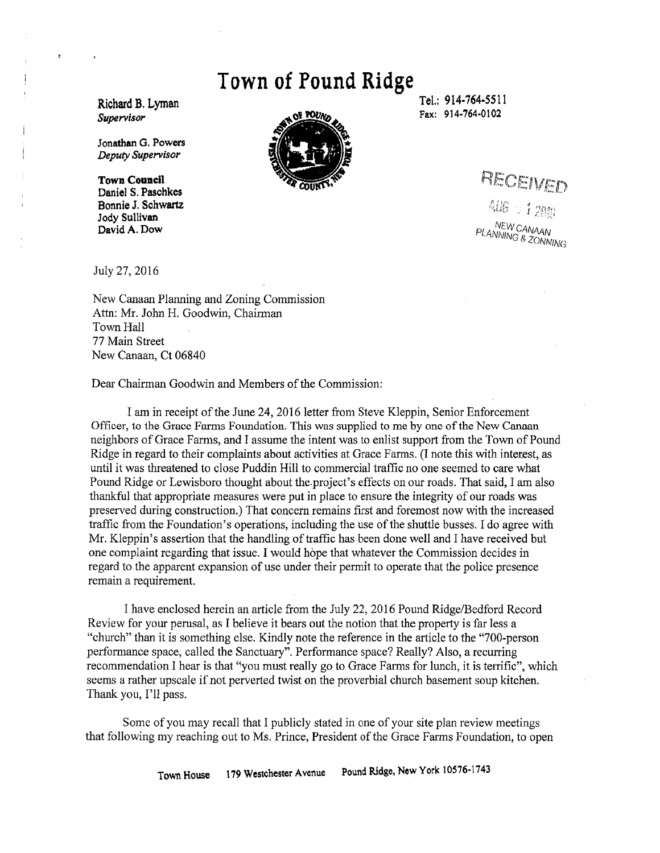## Town of Pound Ridge

Richard B, Lyman Supervisor

 $\mathbf c$ 

Jonathan G. Powers Deputy Supervisor

Town Council Daníel S. Pasohkes Bonnie J. Schwartz Jody Sullivan David A, Dow



Tel.; 914.764-551 I Fax: 914-764-0102

RÊCEIVED

 $w$  ,  $i$   $_{20y}$ NEW CANAAN<br>PLANNING & ZONNING

Iuly 27,2016

New Canaan Planning and Zoning Commission Attn: Mr. John H, Goodwin, Chairman TownHall 77 Main Street New Canaan, Ct 06840

Dear Chairman Goodwin and Members of the Commission:

I am in receipt of the June 24, 2016 letter from Steve Kleppin, Senior Enforcement Officer, to the Grace Farms Fourdation. This was supplied to me by one of the New Canaan neighbors of Grace Farms, and I assume the intent was to enlist support from the Town of Pound Ridge in regard to their complaints about activities at Grace Farms. (I note this with interest, as until it was threatened to close Puddin Hill to commercial traffrc no one seemed to care what Pound Ridge or Lewisboro thought about the.project's effects on our roads. That said, I am also thankful that appropriate measures were put in place to ensure the integrity of our roads was preserved during construction.) That concern remains first and foremost now with the increased traffic from the Foundation's operations, including the use of the shuttle busses. I do agree with Mr. Kleppin's assertion that the handling of traffic has been done well and I have received but one complaint regarding that issue. I would hope that whatever the Commission decides in regard to the apparent expansion of use under their permit to operate that the police presence remain a requirement.

I have enclosed herein an article from the luly 22,2016 Pound Ridge/Bedford Record Review for your perusal, as I believe it bears out the notion that the property is far less a "church" than it is something else. Kindly note the reference in the article to the "70O-person performance space, called the Sanctuary". Performance space? Really? Also, a recurring recommendation I hear is that "you must really go to Grace Farms for lunch, it is terrific", which seems a rather upscale if not perverted twist on the proverbial church basement soup kitchen. Thank you, I'll pass.

Some of you may recall that I publicly stated in one of your site plan review meetings that following my reaching out to Ms. Prince, President of the Grace Farms Foundation, to open

Town House 179 Westchester Avenue Pound Ridge, New York 10576-1743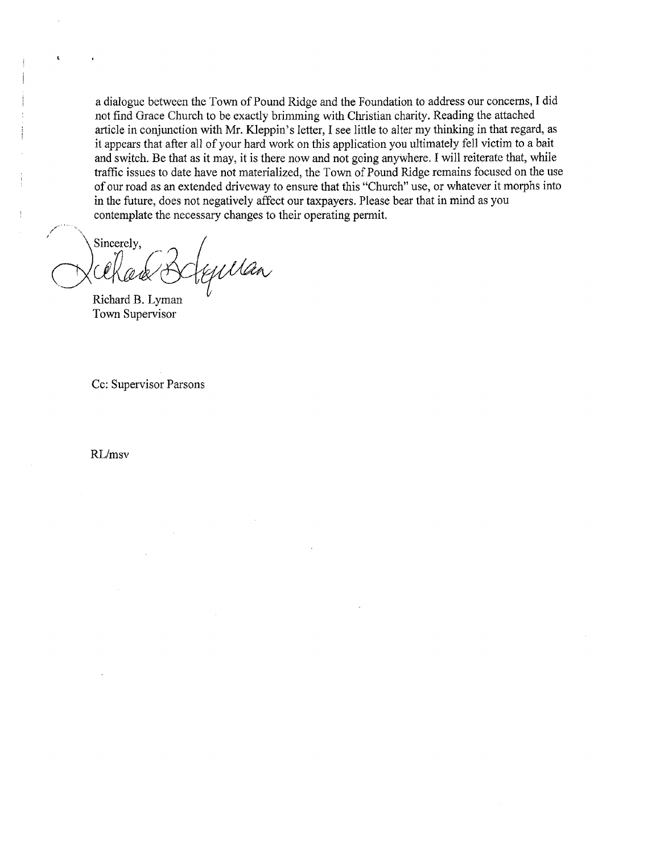a dialogue between the Town of Pound Ridge and the Foundation to address our concerns, I did not find Grace Church to be exactly brimming with Christian charity. Reading the attached article in conjunction with Mr. Kleppin's letter, I see little to alter my thinking in that regard, as it appears that after all of your hard work on this application you ultimately fell victim to abait and switch. Be that as it may, it is there now and not going anywhere. I will reiterate that, while traffic issues to date have not materíalized, the Town of Pound Ridge remains focused on the use of our road as an extended driveway to ensure that this "Church" use, or whatever it morphs into in the future, does not negatively affect our taxpayers. Please bear that in mind as you contemplate the necessary changes to their operating permit,

Sincerely, yillan

Richard B. Lyman Town Supervisor

 $\epsilon$ 

ţ

Cc: Supervisor Parsons

RL/msv